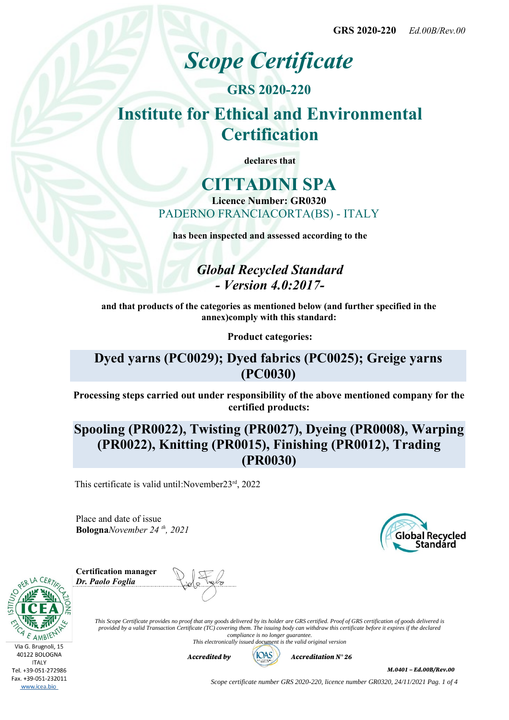# *Scope Certificate*

# **GRS 2020-220 Institute for Ethical and Environmental Certification**

**declares that**

# **CITTADINI SPA**

**Licence Number: GR0320** PADERNO FRANCIACORTA(BS) - ITALY

**has been inspected and assessed according to the**

*Global Recycled Standard - Version 4.0:2017-*

**and that products of the categories as mentioned below (and further specified in the annex)comply with this standard:**

**Product categories:**

## **Dyed yarns (PC0029); Dyed fabrics (PC0025); Greige yarns (PC0030)**

**Processing steps carried out under responsibility of the above mentioned company for the certified products:**

# **Spooling (PR0022), Twisting (PR0027), Dyeing (PR0008), Warping (PR0022), Knitting (PR0015), Finishing (PR0012), Trading (PR0030)**

This certificate is valid until:November23rd, 2022

Place and date of issue **Bologna***November 24 th, 2021*



**Certification manager** *Dr. Paolo Foglia*

Via G. Brugnoli, 15 40122 BOLOGNA **ITALY** Tel. +39-051-272986 Fax. +39-051-232011 www.icea.bio



*This Scope Certificate provides no proof that any goods delivered by its holder are GRS certified. Proof of GRS certification of goods delivered is provided by a valid Transaction Certificate (TC) covering them. The issuing body can withdraw this certificate before it expires if the declared compliance is no longer guarantee. This electronically issued document is the valid original version*



*M.0401 – Ed.00B/Rev.00*

*Scope certificate number GRS 2020-220, licence number GR0320, 24/11/2021 Pag. 1 of 4*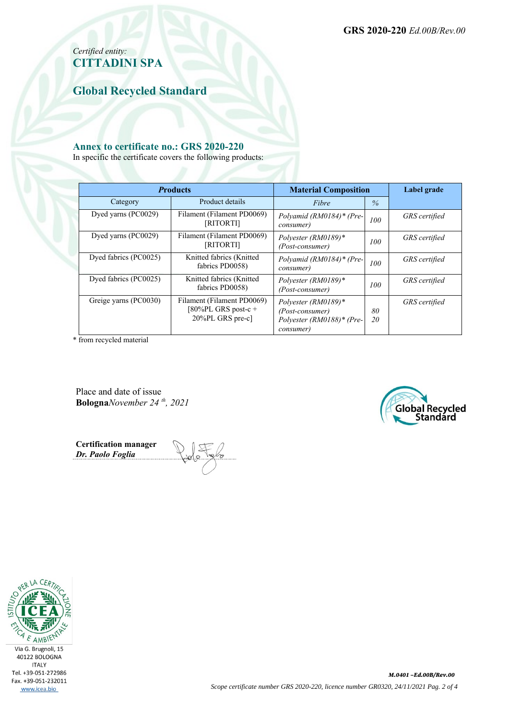### *Certified entity:* **CITTADINI SPA**

**Global Recycled Standard**

#### **Annex to certificate no.: GRS 2020-220**

In specific the certificate covers the following products:

| <b>Products</b>       |                                                                       | <b>Material Composition</b>                                                      |          | Label grade          |  |
|-----------------------|-----------------------------------------------------------------------|----------------------------------------------------------------------------------|----------|----------------------|--|
| Category              | Product details                                                       | Fibre                                                                            | $\%$     |                      |  |
| Dyed varns (PC0029)   | Filament (Filament PD0069)<br>[RITORTI]                               | Polyamid (RM0184)* (Pre-<br>consumer)                                            | 100      | <b>GRS</b> certified |  |
| Dyed yarns (PC0029)   | Filament (Filament PD0069)<br>[RITORTI]                               | Polyester (RM0189)*<br>(Post-consumer)                                           | 100      | <b>GRS</b> certified |  |
| Dyed fabrics (PC0025) | Knitted fabrics (Knitted<br>fabrics PD0058)                           | Polyamid (RM0184)* (Pre-<br>consumer)                                            | 100      | <b>GRS</b> certified |  |
| Dyed fabrics (PC0025) | Knitted fabrics (Knitted<br>fabrics PD0058)                           | Polyester (RM0189)*<br>(Post-consumer)                                           | 100      | GRS certified        |  |
| Greige yarns (PC0030) | Filament (Filament PD0069)<br>[80%PL GRS post-c +<br>20%PL GRS pre-c] | Polyester (RM0189)*<br>(Post-consumer)<br>Polyester (RM0188)* (Pre-<br>consumer) | 80<br>20 | GRS certified        |  |

\* from recycled material

Place and date of issue **Bologna***November 24 th, 2021*



**Certification manager** *Dr. Paolo Foglia*

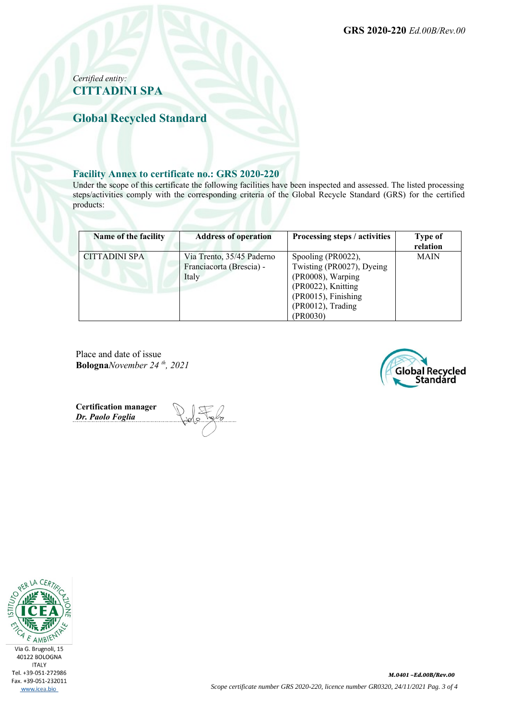**GRS 2020-220** *Ed.00B/Rev.00*

#### *Certified entity:* **CITTADINI SPA**

**Global Recycled Standard**

#### **Facility Annex to certificate no.: GRS 2020-220**

Under the scope of this certificate the following facilities have been inspected and assessed. The listed processing steps/activities comply with the corresponding criteria of the Global Recycle Standard (GRS) for the certified products:

| Name of the facility | <b>Address of operation</b>                                    | Processing steps / activities                                                                                                                      | <b>Type of</b><br>relation |
|----------------------|----------------------------------------------------------------|----------------------------------------------------------------------------------------------------------------------------------------------------|----------------------------|
| CITTADINI SPA        | Via Trento, 35/45 Paderno<br>Franciacorta (Brescia) -<br>Italy | Spooling (PR0022),<br>Twisting (PR0027), Dyeing<br>(PR0008), Warping<br>(PR0022), Knitting<br>(PR0015), Finishing<br>(PR0012), Trading<br>(PR0030) | <b>MAIN</b>                |

Place and date of issue **Bologna***November 24 th, 2021*



**Certification manager** *Dr. Paolo Foglia*